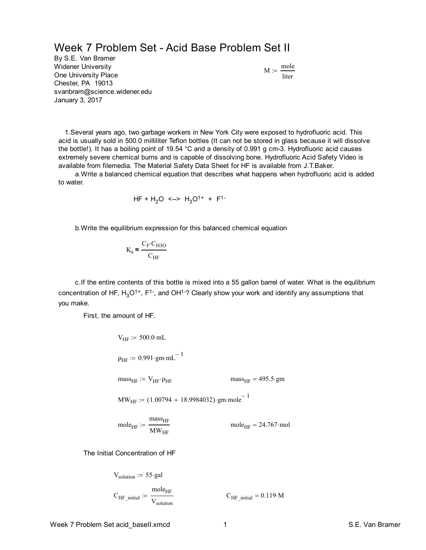## Week 7 Problem Set - Acid Base Problem Set II

By S.E. Van Bramer Widener University One University Place Chester, PA 19013 svanbram@science.widener.edu January 3, 2017

$$
M := \frac{\text{mole}}{\text{liter}}
$$

 1.Several years ago, two garbage workers in New York City were exposed to hydrofluoric acid. This acid is usually sold in 500.0 milliliter Teflon bottles (It can not be stored in glass because it will dissolve the bottle!). It has a boiling point of 19.54 °C and a density of 0.991 g cm-3. Hydrofluoric acid causes extremely severe chemical burns and is capable of dissolving bone. Hydrofluoric Acid Safety Video is available from filemedia. The Material Safety Data Sheet for HF is available from J.T.Baker.

 a.Write a balanced chemical equation that describes what happens when hydrofluoric acid is added to water.

$$
HF + H_2O \iff H_3O^{1+} + F^{1-}
$$

b.Write the equilibrium expression for this balanced chemical equation

$$
\mathrm{K_{a} = \frac{C_{\mathrm{F}} \cdot C_{\mathrm{H3O}}}{C_{\mathrm{HF}}}}
$$

 c.If the entire contents of this bottle is mixed into a 55 gallon barrel of water. What is the equlibrium concentration of HF, H<sub>3</sub>O<sup>1+</sup>, F<sup>1-</sup>, and OH<sup>1-</sup>? Clearly show your work and identify any assumptions that you make.

First, the amount of HF.

$$
V_{HF}
$$
 := 500.0·mL  
\n $\rho_{HF}$  := 0.991·gm·mL<sup>-1</sup>  
\n $mass_{HF}$  =  $V_{HF}$   $mass_{HF}$  = 495.5·gm  
\n $MW_{HF}$  := (1.00794 + 18.9984032)·gm·mole<sup>-1</sup>  
\n $mole_{HF}$  =  $\frac{mass_{HF}}{MW_{HF}}$   $mole_{HF}$  = 24.767·mol

The Initial Concentration of HF

$$
V_{\text{solution}} := 55 \cdot \text{gal}
$$
  
\n $C_{\text{HF\_initial}} := \frac{\text{mole}_{\text{HF}}}{V_{\text{solution}}}$   
\n $C_{\text{HF\_initial}} = 0.119 \cdot \text{M}$ 

Week 7 Problem Set acid baseII.xmcd 1 S.E. Van Bramer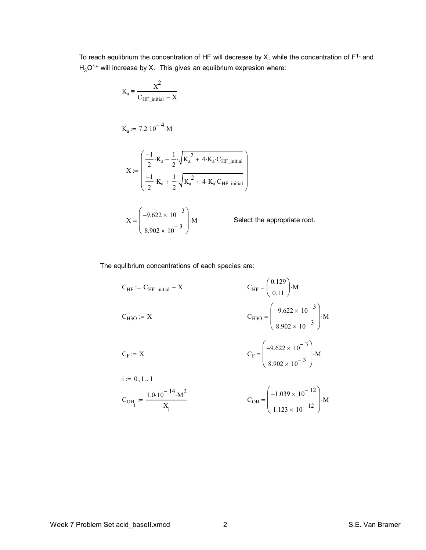To reach equlibrium the concentration of HF will decrease by X, while the concentration of  $F<sup>1-</sup>$  and  $H_3O^{1+}$  will increase by X. This gives an equlibrium expresion where:

$$
K_{a} = \frac{X^{2}}{C_{HF\_initial} - X}
$$
  
\n
$$
K_{a} := 7.2 \cdot 10^{-4} \cdot M
$$
  
\n
$$
X := \begin{pmatrix} \frac{-1}{2} \cdot K_{a} - \frac{1}{2} \cdot \sqrt{K_{a}^{2} + 4 \cdot K_{a} \cdot C_{HF\_initial}} \\ \frac{-1}{2} \cdot K_{a} + \frac{1}{2} \cdot \sqrt{K_{a}^{2} + 4 \cdot K_{a} \cdot C_{HF\_initial}} \end{pmatrix}
$$
  
\n
$$
X = \begin{pmatrix} -9.622 \times 10^{-3} \\ 8.902 \times 10^{-3} \end{pmatrix} \cdot M
$$
 Select the appropriate root.

The equlibrium concentrations of each species are:

$$
C_{HF} := C_{HF\_initial} - X
$$
\n
$$
C_{HF} = \begin{pmatrix} 0.129 \\ 0.11 \end{pmatrix} \cdot M
$$
\n
$$
C_{H3O} := X
$$
\n
$$
C_{H3O} = \begin{pmatrix} -9.622 \times 10^{-3} \\ 8.902 \times 10^{-3} \end{pmatrix} \cdot M
$$
\n
$$
C_{F} = \begin{pmatrix} -9.622 \times 10^{-3} \\ 8.902 \times 10^{-3} \end{pmatrix} \cdot M
$$
\n
$$
i := 0, 1...1
$$
\n
$$
C_{OH} := \frac{1.0 \cdot 10^{-14} \cdot M^{2}}{X_{i}}
$$
\n
$$
C_{OH} = \begin{pmatrix} -1.039 \times 10^{-12} \\ 1.123 \times 10^{-12} \end{pmatrix} \cdot M
$$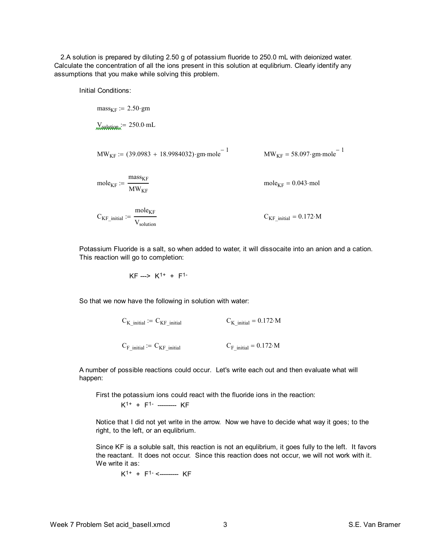2.A solution is prepared by diluting 2.50 g of potassium fluoride to 250.0 mL with deionized water. Calculate the concentration of all the ions present in this solution at equlibrium. Clearly identify any assumptions that you make while solving this problem.

Initial Conditions:

mass<sub>KF</sub> := 2.50·gm  
\n
$$
\frac{1}{250.0 \cdot mL}
$$
\n
$$
MW_{KF} := (39.0983 + 18.9984032) \cdot gm \cdot mole^{-1}
$$
\n
$$
MW_{KF} = 58.097 \cdot gm \cdot mole^{-1}
$$
\n
$$
MW_{KF} = 68.097 \cdot gm \cdot mole^{-1}
$$
\n
$$
mole_{KF} = 0.043 \cdot mol
$$
\n
$$
C_{KF\_initial} := \frac{mole_{KF}}{V_{solution}}
$$
\n
$$
C_{KF\_initial} = 0.172 \cdot M
$$

Potassium Fluoride is a salt, so when added to water, it will dissocaite into an anion and a cation. This reaction will go to completion:

 $KF \longrightarrow K^{1+} + F^{1-}$ 

So that we now have the following in solution with water:

 $C_K$  initial :=  $C_{KF}$  initial  $C_K$  initial = 0.172 M  $C_F$  initial :=  $C_{KF}$  initial  $C_F$  initial = 0.172 M

A number of possible reactions could occur. Let's write each out and then evaluate what will happen:

First the potassium ions could react with the fluoride ions in the reaction:

 $K^{1+}$  +  $F^{1-}$  -------- KF

Notice that I did not yet write in the arrow. Now we have to decide what way it goes; to the right, to the left, or an equlibrium.

Since KF is a soluble salt, this reaction is not an equlibrium, it goes fully to the left. It favors the reactant. It does not occur. Since this reaction does not occur, we will not work with it. We write it as:

 $K^{1+}$  +  $F^{1-}$  <--------- KF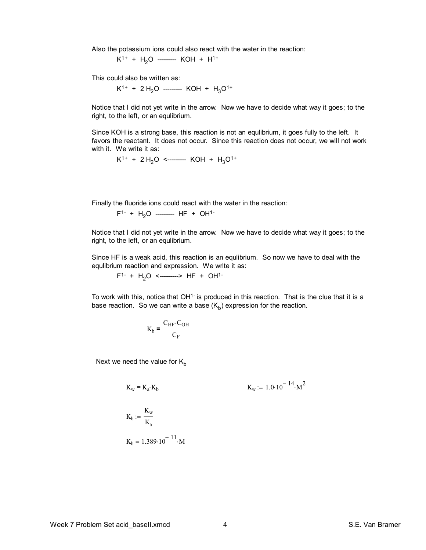Also the potassium ions could also react with the water in the reaction:

 $K^{1+}$  +  $H_2O$  --------- KOH +  $H^{1+}$ 

This could also be written as:

 $K^{1+}$  + 2 H<sub>2</sub>O --------- KOH + H<sub>3</sub>O<sup>1+</sup>

Notice that I did not yet write in the arrow. Now we have to decide what way it goes; to the right, to the left, or an equlibrium.

Since KOH is a strong base, this reaction is not an equlibrium, it goes fully to the left. It favors the reactant. It does not occur. Since this reaction does not occur, we will not work with it. We write it as:

$$
K^{1+} + 2 H_2O \n\leq 4
$$
 KOH + H<sub>3</sub>O<sup>1+</sup>

Finally the fluoride ions could react with the water in the reaction:

$$
F^{1-} + H_2O
$$
 \n $HF + OH^{1-}$ 

Notice that I did not yet write in the arrow. Now we have to decide what way it goes; to the right, to the left, or an equlibrium.

Since HF is a weak acid, this reaction is an equlibrium. So now we have to deal with the equlibrium reaction and expression. We write it as:

 $F^{1-}$  +  $H_2O$  <--------> HF + OH<sup>1-</sup>

To work with this, notice that  $OH<sup>1</sup>$  is produced in this reaction. That is the clue that it is a base reaction. So we can write a base ( $\mathsf{K}_{\mathsf{b}}$ ) expression for the reaction.

$$
K_b = \frac{C_{HF} \cdot C_{OH}}{C_F}
$$

Next we need the value for  $K_b$ 

$$
K_w = K_a \cdot K_b
$$
  

$$
K_w := 1.0 \cdot 10^{-14} \cdot M^2
$$
  

$$
K_b := \frac{K_w}{K_a}
$$

$$
K_b = 1.389.10^{-11} \cdot M
$$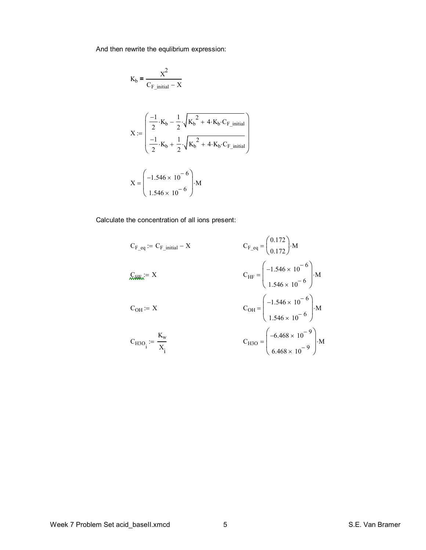And then rewrite the equlibrium expression:

$$
K_{b} = \frac{X^{2}}{C_{F\_initial} - X}
$$
  

$$
X := \begin{pmatrix} \frac{-1}{2} \cdot K_{b} - \frac{1}{2} \cdot \sqrt{K_{b}^{2} + 4 \cdot K_{b} \cdot C_{F\_initial}} \\ \frac{-1}{2} \cdot K_{b} + \frac{1}{2} \cdot \sqrt{K_{b}^{2} + 4 \cdot K_{b} \cdot C_{F\_initial}} \end{pmatrix}
$$
  

$$
X = \begin{pmatrix} -1.546 \times 10^{-6} \\ 1.546 \times 10^{-6} \end{pmatrix} \cdot M
$$

Calculate the concentration of all ions present:

$$
C_{F\_eq} := C_{F\_initial} - X
$$
\n
$$
C_{F\_eq} = \begin{pmatrix} 0.172 \\ 0.172 \end{pmatrix} \cdot M
$$
\n
$$
C_{HF} = \begin{pmatrix} -1.546 \times 10^{-6} \\ 1.546 \times 10^{-6} \end{pmatrix} \cdot M
$$
\n
$$
C_{OH} := X
$$
\n
$$
C_{OH} := X
$$
\n
$$
C_{H3O_i} := \frac{K_w}{X_i}
$$
\n
$$
C_{H3O_i} = \begin{pmatrix} -6.468 \times 10^{-9} \\ 6.468 \times 10^{-9} \end{pmatrix} \cdot M
$$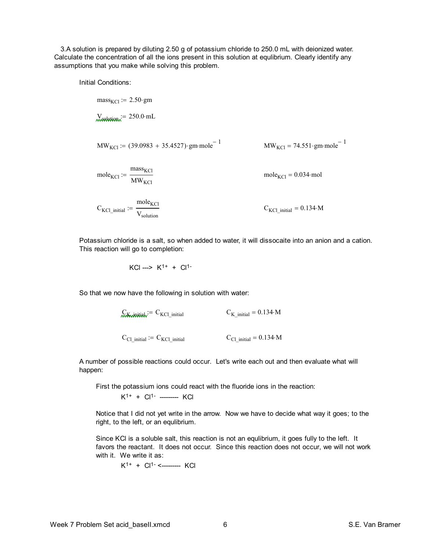3.A solution is prepared by diluting 2.50 g of potassium chloride to 250.0 mL with deionized water. Calculate the concentration of all the ions present in this solution at equlibrium. Clearly identify any assumptions that you make while solving this problem.

Initial Conditions:

$$
mass_{KCl} := 2.50 \cdot gm
$$
  
\n
$$
W_{KCl} := 250.0 \cdot mL
$$
  
\n
$$
MW_{KCl} := (39.0983 + 35.4527) \cdot gm \cdot mole^{-1}
$$
  
\n
$$
MW_{KCl} = 74.551 \cdot gm \cdot mole^{-1}
$$
  
\n
$$
mole_{KCl} := \frac{mass_{KCl}}{MW_{KCl}}
$$
  
\n
$$
mole_{KCl} = 0.034 \cdot mol
$$
  
\n
$$
C_{KCl\_initial} := \frac{mole_{KCl}}{V_{solution}}
$$
  
\n
$$
C_{KCl\_initial} = 0.134 \cdot M
$$

Potassium chloride is a salt, so when added to water, it will dissocaite into an anion and a cation. This reaction will go to completion:

$$
KCl \longrightarrow K^{1+} + Cl^{1-}
$$

So that we now have the following in solution with water:

 $C_K$ <sub>initial</sub>  $= C_{KCl}$  initial  $C_K$  initial  $= 0.134 \cdot M$  $C_{\text{Cl}_i}$  initial := C<sub>KCl</sub> initial  $C_{\text{Cl}_i}$  initial = 0.134 M

A number of possible reactions could occur. Let's write each out and then evaluate what will happen:

First the potassium ions could react with the fluoride ions in the reaction:

 $K^{1+} + Cl^{1-}$  --------- KCl

Notice that I did not yet write in the arrow. Now we have to decide what way it goes; to the right, to the left, or an equlibrium.

Since KCl is a soluble salt, this reaction is not an equlibrium, it goes fully to the left. It favors the reactant. It does not occur. Since this reaction does not occur, we will not work with it. We write it as:

K1+ + Cl1- <--------- KCl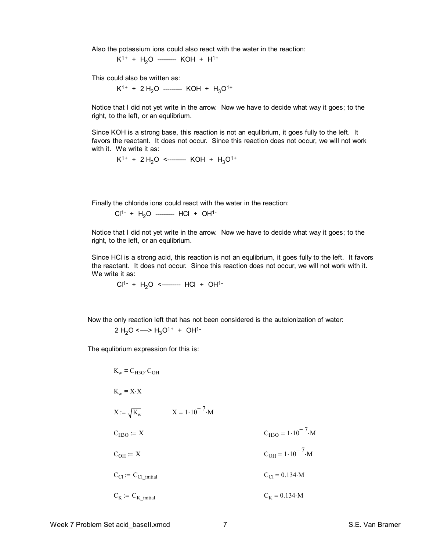Also the potassium ions could also react with the water in the reaction:

 $K^{1+}$  + H<sub>2</sub>O --------- KOH + H<sup>1+</sup>

This could also be written as:

 $K^{1+}$  + 2 H<sub>2</sub>O --------- KOH + H<sub>3</sub>O<sup>1+</sup>

Notice that I did not yet write in the arrow. Now we have to decide what way it goes; to the right, to the left, or an equlibrium.

Since KOH is a strong base, this reaction is not an equlibrium, it goes fully to the left. It favors the reactant. It does not occur. Since this reaction does not occur, we will not work with it. We write it as:

$$
K^{1+} + 2 H_2O \n\leq 4
$$
 KOH + H<sub>3</sub>O<sup>1+</sup>

Finally the chloride ions could react with the water in the reaction:

$$
Cl^{1-} + H_2O
$$
 \n
$$
HCl + OH^{1-}
$$

Notice that I did not yet write in the arrow. Now we have to decide what way it goes; to the right, to the left, or an equlibrium.

Since HCl is a strong acid, this reaction is not an equlibrium, it goes fully to the left. It favors the reactant. It does not occur. Since this reaction does not occur, we will not work with it. We write it as:

$$
Cl^{1-} + H_2O \le 1 + OH^{1-}
$$

Now the only reaction left that has not been considered is the autoionization of water:

$$
2 H2O <---> H3O1+ + OH1-
$$

The equlibrium expression for this is:

$$
K_w = C_{H3O} \cdot C_{OH}
$$
  
\n $K_w = X \cdot X$   
\n $X := \sqrt{K_w}$   $X = 1 \cdot 10^{-7} \cdot M$   
\n $C_{H3O} := X$   $C_{H3O} = 1 \cdot 10^{-7} \cdot M$   
\n $C_{OH} := X$   $C_{OH} = 1 \cdot 10^{-7} \cdot M$   
\n $C_{Cl} := C_{Cl\_initial}$   $C_{Cl} = 0.134 \cdot M$   
\n $C_K := C_{K\_initial}$   $C_K = 0.134 \cdot M$